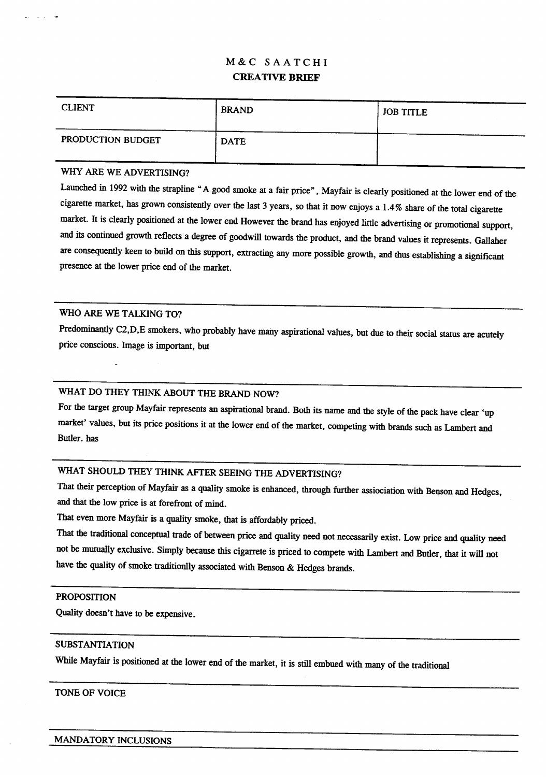# M&C SAATCHI CREATIVE BRIEF

| <b>CLIENT</b>     | <b>BRAND</b> | <b>JOB TITLE</b> |
|-------------------|--------------|------------------|
| PRODUCTION BUDGET | <b>DATE</b>  |                  |

## WHY ARE WE ADVERTISING?

Launched in <sup>1992</sup> with the strapline "A good smoke at <sup>a</sup> fair price", Mayfair is clearly positioned at the lower end of the cigarette market, has grown consistently over the last <sup>3</sup> years, so that it now enjoys <sup>a</sup> 1.4% share of the total cigarette market. It is clearly positioned at the lower end However the brand has enjoyed little advertising or promotional support, and its continued growth reflects <sup>a</sup> degree of goodwill towards the product, and the brand values it represents. Gallaher are consequently keen to build on this support, extracting any more possible growth, and thus establishing <sup>a</sup> significant presence at the lower price end of the market.

## WHO ARE WE TALKING TO?

Predominantly C2,D,E smokers, who probably have many aspirational values, but due to their social status are acutely price conscious . Image is important, but

## WHAT DO THEY THINK ABOUT THE BRAND NOW?

For the target group Mayfair represents an aspirational brand. Both its name and the style of the pack have clear 'up market' values, but its price positions it at the lower end of the market, competing with brands such as Lambert and Butler. has

## WHAT SHOULD THEY THINK AFTER SEEING THE ADVERTISING?

That their perception of Mayfair as <sup>a</sup> quality smoke is enhanced, through further assiociation with Benson and Hedges, and that the low price is at forefront of mind.

That even more Mayfair is a quality smoke, that is affordably priced.

That the traditional conceptual trade of between price and quality need not necessarily exist . Low price and quality need not be mutually exclusive . Simply because this cigarrete is priced to compete with Lambert and Butler, that it will not have the quality of smoke traditionlly associated with Benson & Hedges brands.

#### PROPOSITION

Quality doesn't have to be expensive.

## SUBSTANTIATION

While Mayfair is positioned at the lower end of the market, it is still embued with many of the traditional

## TONE OF VOICE

MANDATORY INCLUSIONS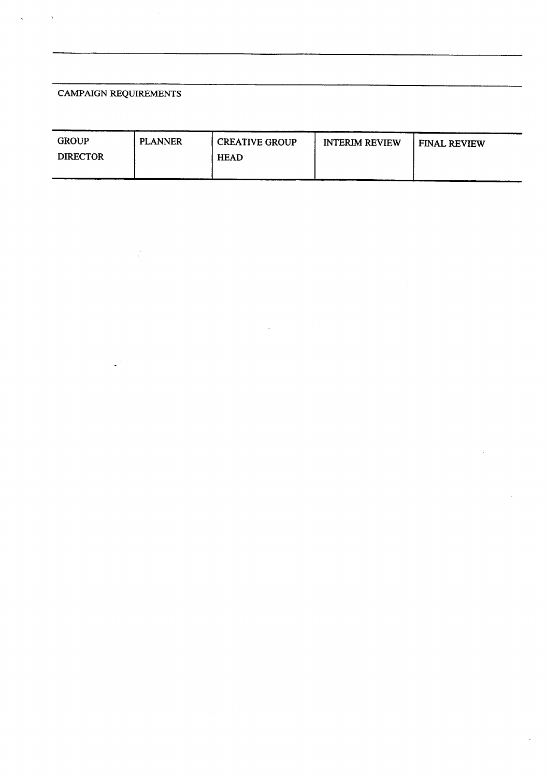## CAMPAIGN REQUIREMENTS

| <b>GROUP</b>    | <b>PLANNER</b> | <b>CREATIVE GROUP</b> | <b>INTERIM REVIEW</b> | <b>FINAL REVIEW</b> |
|-----------------|----------------|-----------------------|-----------------------|---------------------|
| <b>DIRECTOR</b> |                | <b>HEAD</b>           |                       |                     |
|                 |                |                       |                       |                     |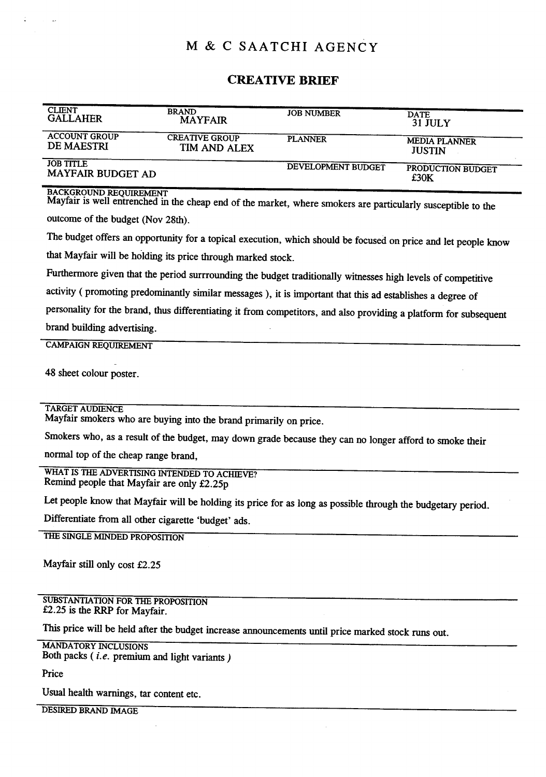# M & C SAATCHI AGENCY

## CREATIVE BRIEF

| <b>CLIENT</b>                                | <b>BRAND</b>          | <b>JOB NUMBER</b>  | <b>DATE</b>               |
|----------------------------------------------|-----------------------|--------------------|---------------------------|
| <b>GALLAHER</b>                              | <b>MAYFAIR</b>        |                    | 31 JULY                   |
| <b>ACCOUNT GROUP</b>                         | <b>CREATIVE GROUP</b> | <b>PLANNER</b>     | <b>MEDIA PLANNER</b>      |
| DE MAESTRI                                   | TIM AND ALEX          |                    | <b>JUSTIN</b>             |
| <b>JOB TITLE</b><br><b>MAYFAIR BUDGET AD</b> |                       | DEVELOPMENT BUDGET | PRODUCTION BUDGET<br>£30K |

BACKGROUND REQUIREMENT

Mayfair is well entrenched in the cheap end of the market, where smokers are particularly susceptible to the outcome of the budget (Nov 28th).

The budget offers an opportunity for <sup>a</sup> topical execution, which should be focused on price and let people know that Mayfair will be holding its price through marked stock.

Furthermore given that the period surrrounding the budget traditionally witnesses high levels of competitive

activity ( promoting predominantly similar messages ), it is important that this ad establishes a degree of

personality for the brand, thus differentiating it from competitors, and also providing a platform for subsequent brand building advertising. -

#### CAMPAIGN REQUIREMENT

48 sheet colour poster .

## TARGET AUDIENCE

Mayfair smokers who are buying into the brand primarily on price.

Smokers who, as <sup>a</sup> result of the budget, may down grade because they can no longer afford to smoke their

normal top of the cheap range brand,

WHAT IS THE ADVERTISING INTENDED TO ACHIEVE? Remind people that Mayfair are only £2.25p

Let people know that Mayfair will be holding its price for as long as possible through the budgetary period.

Differentiate from all other cigarette 'budget' ads.

THE SINGLE MINDED PROPOSITION

Mayfair still only cost £2.25

SUBSTANTIATION FOR THE PROPOSITION £2.25 is the RRP for Mayfair.

This price will be held after the budget increase announcements until price marked stock runs out.

MANDATORY INCLUSIONS Both packs  $(i.e.$  premium and light variants  $)$ 

Price

Usual health warnings, tar content etc.

DESIRED BRAND IMAGE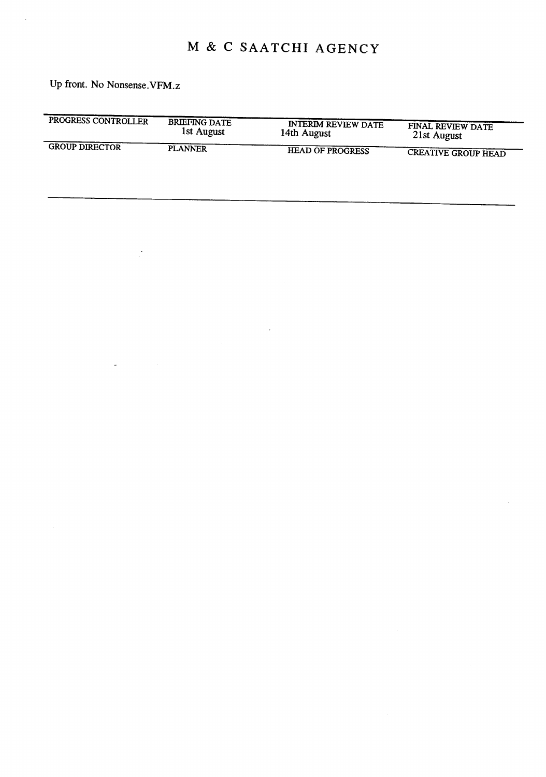# M & <sup>C</sup> SAATCHI AGENCY

Up front. No Nonsense. VFM.z

Î,

 $\overline{a}$ 

| PROGRESS CONTROLLER   | <b>BRIEFING DATE</b> | <b>INTERIM REVIEW DATE</b> | FINAL REVIEW DATE          |
|-----------------------|----------------------|----------------------------|----------------------------|
|                       | 1st August           | 14th August                | 21st August                |
| <b>GROUP DIRECTOR</b> | <b>PLANNER</b>       | <b>HEAD OF PROGRESS</b>    | <b>CREATIVE GROUP HEAD</b> |

 $\mathcal{A}^{\mathcal{A}}$